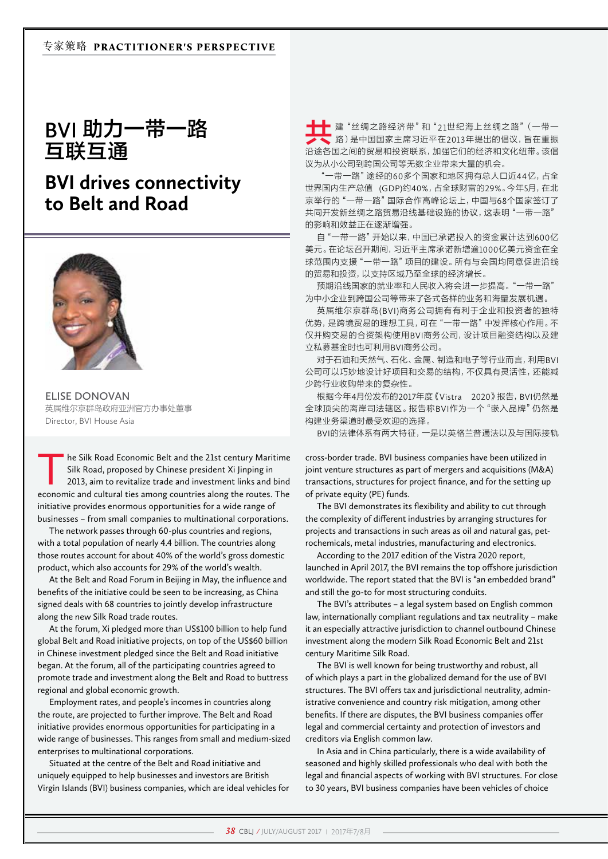**BVI** 助力一带一路 互联互通

## **BVI drives connectivity to Belt and Road**



**ELISE DONOVAN**  英属维尔京群岛政府亚洲官方办事处董事 Director, BVI House Asia

he Silk Road Economic Belt and the 21st century Maritime Silk Road, proposed by Chinese president Xi Jinping in 2013, aim to revitalize trade and investment links and bind economic and cultural ties among countries along the routes. The initiative provides enormous opportunities for a wide range of businesses – from small companies to multinational corporations.

The network passes through 60-plus countries and regions, with a total population of nearly 4.4 billion. The countries along those routes account for about 40% of the world's gross domestic product, which also accounts for 29% of the world's wealth.

At the Belt and Road Forum in Beijing in May, the influence and benefits of the initiative could be seen to be increasing, as China signed deals with 68 countries to jointly develop infrastructure along the new Silk Road trade routes.

At the forum, Xi pledged more than US\$100 billion to help fund global Belt and Road initiative projects, on top of the US\$60 billion in Chinese investment pledged since the Belt and Road initiative began. At the forum, all of the participating countries agreed to promote trade and investment along the Belt and Road to buttress regional and global economic growth.

Employment rates, and people's incomes in countries along the route, are projected to further improve. The Belt and Road initiative provides enormous opportunities for participating in a wide range of businesses. This ranges from small and medium-sized enterprises to multinational corporations.

Situated at the centre of the Belt and Road initiative and uniquely equipped to help businesses and investors are British Virgin Islands (BVI) business companies, which are ideal vehicles for

共建"丝绸之路经济带"和"21世纪海上丝绸之路"(一带一 路)是中国国家主席习近平在2013年提出的倡议,旨在重振 沿途各国之间的贸易和投资联系,加强它们的经济和文化纽带。该倡 议为从小公司到跨国公司等无数企业带来大量的机会。

"一带一路"途经的60多个国家和地区拥有总人口近44亿,占全 世界国内生产总值 (GDP)约40%, 占全球财富的29%。今年5月, 在北 京举行的"一带一路"国际合作高峰论坛上,中国与68个国家签订了 共同开发新丝绸之路贸易沿线基础设施的协议,这表明"一带一路" 的影响和效益正在逐渐增强。

自"一带一路"开始以来,中国已承诺投入的资金累计达到600亿 美元。在论坛召开期间,习近平主席承诺新增逾1000亿美元资金在全 球范围内支援"一带一路"项目的建设。所有与会国均同意促进沿线 的贸易和投资,以支持区域乃至全球的经济增长。

预期沿线国家的就业率和人民收入将会进一步提高。"一带一路" 为中小企业到跨国公司等带来了各式各样的业务和海量发展机遇。

英属维尔京群岛(BVI)商务公司拥有有利于企业和投资者的独特 优势,是跨境贸易的理想工具,可在"一带一路"中发挥核心作用。不 仅并购交易的合资架构使用BVI商务公司,设计项目融资结构以及建 立私募基金时也可利用BVI商务公司。

对于石油和天然气、石化、金属、制造和电子等行业而言,利用BVI 公司可以巧妙地设计好项目和交易的结构,不仅具有灵活性,还能减 少跨行业收购带来的复杂性。

根据今年月份发布的2017年度《Vistra 2020》报告,BVI仍然是 全球顶尖的离岸司法辖区。报告称BVI作为一个"嵌入品牌"仍然是 构建业务渠道时最受欢迎的选择。

BVI的法律体系有两大特征,一是以英格兰普通法以及与国际接轨

cross-border trade. BVI business companies have been utilized in joint venture structures as part of mergers and acquisitions (M&A) transactions, structures for project finance, and for the setting up of private equity (PE) funds.

The BVI demonstrates its flexibility and ability to cut through the complexity of different industries by arranging structures for projects and transactions in such areas as oil and natural gas, petrochemicals, metal industries, manufacturing and electronics.

According to the 2017 edition of the Vistra 2020 report, launched in April 2017, the BVI remains the top offshore jurisdiction worldwide. The report stated that the BVI is "an embedded brand" and still the go-to for most structuring conduits.

The BVI's attributes – a legal system based on English common law, internationally compliant regulations and tax neutrality – make it an especially attractive jurisdiction to channel outbound Chinese investment along the modern Silk Road Economic Belt and 21st century Maritime Silk Road.

The BVI is well known for being trustworthy and robust, all of which plays a part in the globalized demand for the use of BVI structures. The BVI offers tax and jurisdictional neutrality, administrative convenience and country risk mitigation, among other benefits. If there are disputes, the BVI business companies offer legal and commercial certainty and protection of investors and creditors via English common law.

In Asia and in China particularly, there is a wide availability of seasoned and highly skilled professionals who deal with both the legal and financial aspects of working with BVI structures. For close to 30 years, BVI business companies have been vehicles of choice